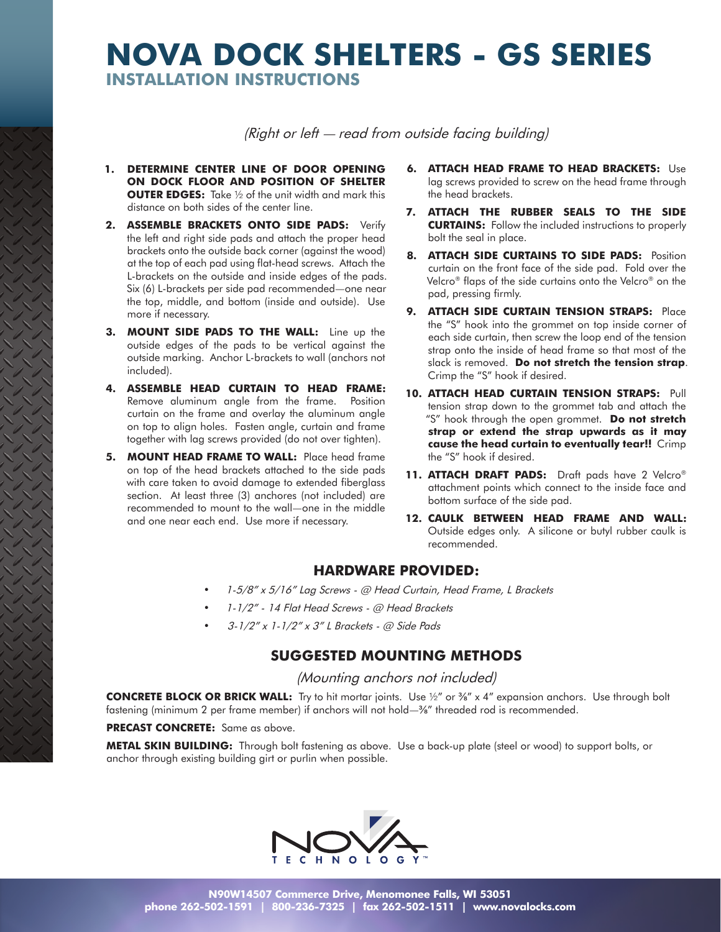# **NOVA DOCK SHELTERS - GS SERIES INSTALLATION INSTRUCTIONS**

(Right or left — read from outside facing building)

- **1. DETERMINE CENTER LINE OF DOOR OPENING ON DOCK FLOOR AND POSITION OF SHELTER OUTER EDGES:** Take ½ of the unit width and mark this distance on both sides of the center line.
- **2. ASSEMBLE BRACKETS ONTO SIDE PADS:** Verify the left and right side pads and attach the proper head brackets onto the outside back corner (against the wood) at the top of each pad using flat-head screws. Attach the L-brackets on the outside and inside edges of the pads. Six (6) L-brackets per side pad recommended—one near the top, middle, and bottom (inside and outside). Use more if necessary.
- **3. MOUNT SIDE PADS TO THE WALL:** Line up the outside edges of the pads to be vertical against the outside marking. Anchor L-brackets to wall (anchors not included).
- **4. ASSEMBLE HEAD CURTAIN TO HEAD FRAME:** Remove aluminum angle from the frame. Position curtain on the frame and overlay the aluminum angle on top to align holes. Fasten angle, curtain and frame together with lag screws provided (do not over tighten).
- **5. MOUNT HEAD FRAME TO WALL:** Place head frame on top of the head brackets attached to the side pads with care taken to avoid damage to extended fiberglass section. At least three (3) anchores (not included) are recommended to mount to the wall—one in the middle and one near each end. Use more if necessary.
- **6. ATTACH HEAD FRAME TO HEAD BRACKETS:** Use lag screws provided to screw on the head frame through the head brackets.
- **7. ATTACH THE RUBBER SEALS TO THE SIDE CURTAINS:** Follow the included instructions to properly bolt the seal in place.
- **8. ATTACH SIDE CURTAINS TO SIDE PADS:** Position curtain on the front face of the side pad. Fold over the Velcro® flaps of the side curtains onto the Velcro® on the pad, pressing firmly.
- **9. ATTACH SIDE CURTAIN TENSION STRAPS:** Place the "S" hook into the grommet on top inside corner of each side curtain, then screw the loop end of the tension strap onto the inside of head frame so that most of the slack is removed. **Do not stretch the tension strap**. Crimp the "S" hook if desired.
- **10. ATTACH HEAD CURTAIN TENSION STRAPS:** Pull tension strap down to the grommet tab and attach the "S" hook through the open grommet. **Do not stretch strap or extend the strap upwards as it may cause the head curtain to eventually tear!!** Crimp the "S" hook if desired.
- **11. ATTACH DRAFT PADS:** Draft pads have 2 Velcro® attachment points which connect to the inside face and bottom surface of the side pad.
- 12. CAULK BETWEEN HEAD FRAME AND WALL: Outside edges only. A silicone or butyl rubber caulk is recommended.

### **HARDWARE PROVIDED:**

- 1-5/8" x 5/16" Lag Screws @ Head Curtain, Head Frame, L Brackets
- • 1-1/2" 14 Flat Head Screws @ Head Brackets
- 3-1/2" x 1-1/2" x 3" L Brackets @ Side Pads

## **SUGGESTED MOUNTING METHODS**

#### (Mounting anchors not included)

**CONCRETE BLOCK OR BRICK WALL:** Try to hit mortar joints. Use ½" or ⅜" x 4" expansion anchors. Use through bolt fastening (minimum 2 per frame member) if anchors will not hold—⅜" threaded rod is recommended.

#### **PRECAST CONCRETE:** Same as above.

**METAL SKIN BUILDING:** Through bolt fastening as above. Use a back-up plate (steel or wood) to support bolts, or anchor through existing building girt or purlin when possible.

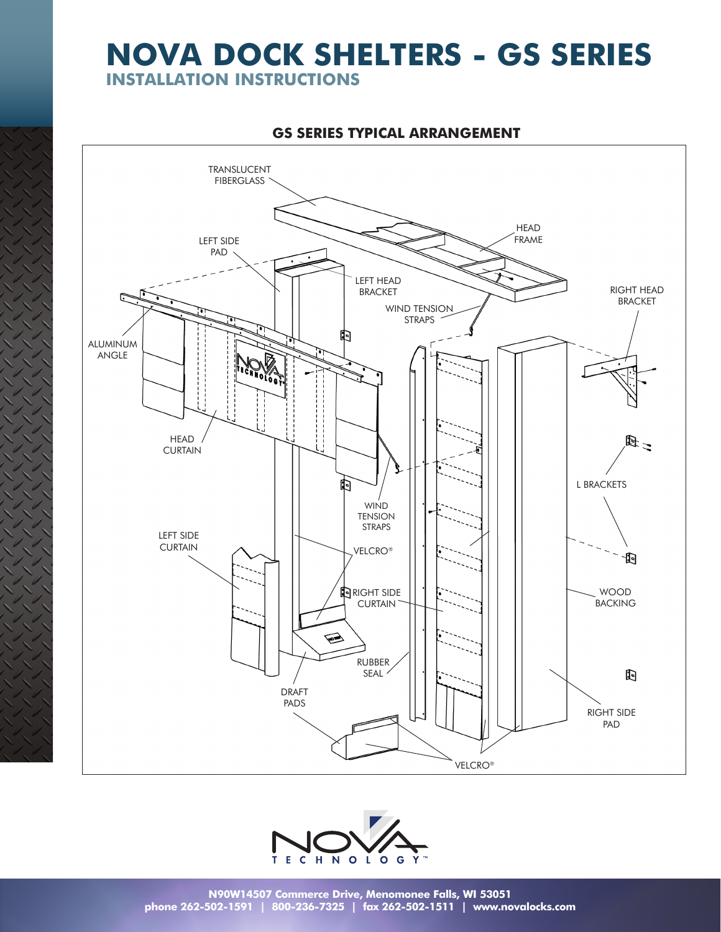# **NOVA DOCK SHELTERS - GS SERIES**

**INSTALLATION INSTRUCTIONS**